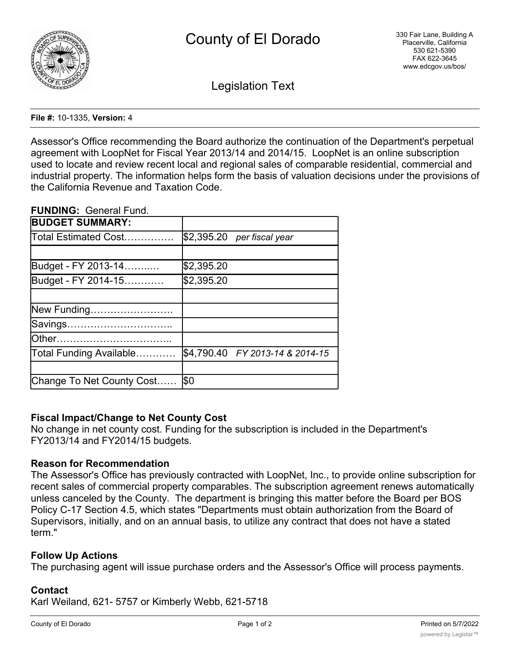

Legislation Text

### **File #:** 10-1335, **Version:** 4

Assessor's Office recommending the Board authorize the continuation of the Department's perpetual agreement with LoopNet for Fiscal Year 2013/14 and 2014/15. LoopNet is an online subscription used to locate and review recent local and regional sales of comparable residential, commercial and industrial property. The information helps form the basis of valuation decisions under the provisions of the California Revenue and Taxation Code.

### **FUNDING:** General Fund.

| <b>BUDGET SUMMARY:</b>    |                                 |
|---------------------------|---------------------------------|
| Total Estimated Cost…………… | $$2,395.20$ per fiscal year     |
|                           |                                 |
| Budget - FY 2013-14       | \$2,395.20                      |
| Budget - FY 2014-15       | \$2,395.20                      |
|                           |                                 |
| New Funding               |                                 |
| Savings                   |                                 |
| lOther………………………………        |                                 |
| Total Funding Available   | \$4,790.40 FY 2013-14 & 2014-15 |
|                           |                                 |
| Change To Net County Cost | <b>\$0</b>                      |

# **Fiscal Impact/Change to Net County Cost**

No change in net county cost. Funding for the subscription is included in the Department's FY2013/14 and FY2014/15 budgets.

# **Reason for Recommendation**

The Assessor's Office has previously contracted with LoopNet, Inc., to provide online subscription for recent sales of commercial property comparables. The subscription agreement renews automatically unless canceled by the County. The department is bringing this matter before the Board per BOS Policy C-17 Section 4.5, which states "Departments must obtain authorization from the Board of Supervisors, initially, and on an annual basis, to utilize any contract that does not have a stated term."

# **Follow Up Actions**

The purchasing agent will issue purchase orders and the Assessor's Office will process payments.

# **Contact**

Karl Weiland, 621- 5757 or Kimberly Webb, 621-5718